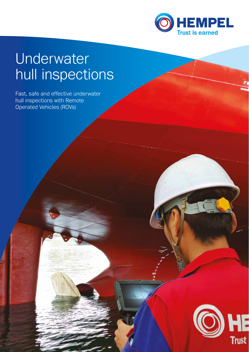

# Underwater hull inspections

Fast, safe and effective underwater hull inspections with Remote Operated Vehicles (ROVs)

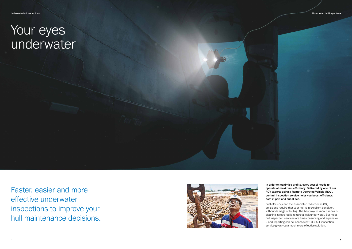In order to maximise profits, every vessel needs to operate at maximum efficiency. Delivered by one of our ROV experts using a Remote Operated Vehicle (ROV), our hull inspection service helps you boost efficiency, both in port and out at sea.

Fuel efficiency and the associated reduction in CO<sub>2</sub> emissions require that your hull is in excellent condition, without damage or fouling. The best way to know if repair or cleaning is required is to take a look underwater. But most hull inspection services are time-consuming and expensive – and reporting can be inconsistent. Our hull inspection service gives you a much more effective solution.

Faster, easier and more effective underwater inspections to improve your hull maintenance decisions.



# Your eyes underwater

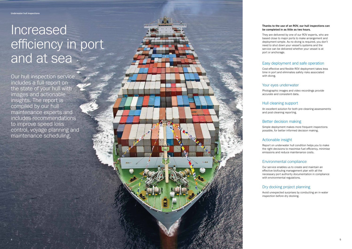### Thanks to the use of an ROV, our hull inspections can be completed in as little as two hours.

They are delivered by one of our ROV experts, who are based close to major ports to make arrangement and deployment simple. As no diving is required, you don't need to shut down your vessel's systems and the service can be delivered whether your vessel is at port or anchorage.

### Easy deployment and safe operation

Cost-effective and flexible ROV deployment takes less time in port and eliminates safety risks associated with diving.

Our service enables us to create and maintain an effective biofouling management plan with all the necessary port authority documentation in compliance with environmental regulations.

### Your eyes underwater

Photographic images and video recordings provide accurate and consistent data.

### Hull cleaning support

# Increased efficiency in port and at sea -

An excellent solution for both pre-cleaning assessments and post-cleaning reporting.

## Better decision making

Simple deployment makes more frequent inspections possible, for better informed decision making.

## Actionable insight

Report on underwater hull condition helps you to make the right decisions to maximise fuel efficiency, minimise emissions and reduce maintenance costs.

### Environmental compliance

## Dry docking project planning

Avoid unexpected surprises by conducting an in-water inspection before dry docking.

Our hull inspection service includes a full report on the state of your hull with images and actionable insights. The report is compiled by our hull maintenance experts and includes recommendations to improve speed loss control, voyage planning and maintenance scheduling.

4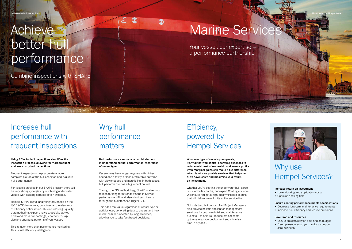# Increase hull performance with frequent inspections

# Why hull performance matters

# Efficiency, powered by Hempel Services

## Why use Hempel Services?

#### Using ROVs for hull inspections simplifies the inspection process, allowing for more frequent and less costly hull inspections.

Frequent inspections help to create a more complete picture of the hull condition and evaluate hull performance.

For vessels enrolled in our SHAPE program there will be very strong synergies by combining underwater visuals with existing data collection systems.

Hempel SHAPE digital analysing tool, based on the ISO 19030 framework, combines all the elements of efficiency optimisation. This includes high quality data gathering, expert analysis, decisive advice and world class hull coatings, whatever the age, size and operating patterns of your vessel.

This is much more than performance monitoring. This is fuel efficiency intelligence.

#### Hull performance remains a crucial element in understanding fuel performance, regardless of vessel type.

 $\infty$ 

 $\bm{\Omega}$ 

Vessels may have longer voyages with higher speed and activity, or less predictable patterns with slower speed and more idling. In both cases, hull performance has a big impact on fuel.

Through the ISO methodology, SHAPE is able both to monitor long term trends via the In Service performance KPI, and also short term trends through the Maintenance Trigger KPI.

This adds real value regardless of vessel type or activity level, generating data to understand how much the hull is affected by long idle times, allowing you to take fact-based decisions.

Whatever type of vessels you operate, it's vital that you control operating expenses to reduce total cost of ownership and ensure profits. Even marginal gains can make a big difference, which is why we provide services that help you drive down costs and maximise your return on investment.

Whether you're coating the underwater hull, cargo holds or ballast tanks, our expert Coating Advisors will ensure you get a high-quality finished coating that will deliver value for its entire service life.

Not only that, but our certified Project Managers also provide holistic application management solutions for both newbuild and maintenance projects – to help you reduce project costs, optimise resource deployment and minimise time in dry dock.

#### Increase return on investment

- Lower docking and application costs
- Optimise docking time

#### Ensure coating performance meets specifications

- Decrease long-term maintenance requirements
- Increase fuel efficiency and reduce emissions

#### Save time and resources

- Ensure projects stay on time and on budget
- Free up resources so you can focus on your core business

# Achieve better hull performance

Combine inspections with SHAPE

# **Marine Service**

Your vessel, our expertise – a performance partnership